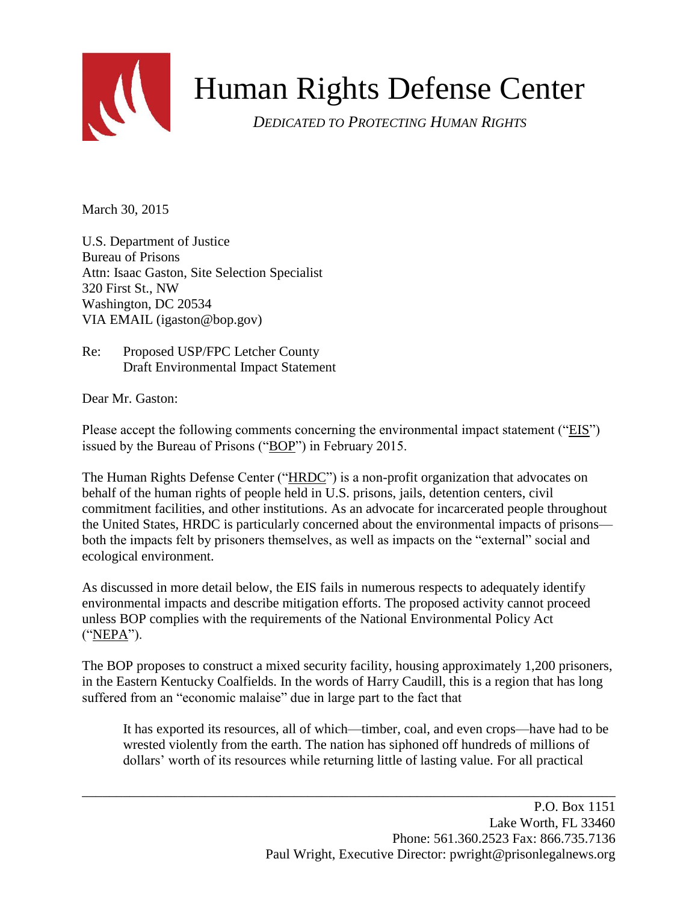

# Human Rights Defense Center

*DEDICATED TO PROTECTING HUMAN RIGHTS*

March 30, 2015

U.S. Department of Justice Bureau of Prisons Attn: Isaac Gaston, Site Selection Specialist 320 First St., NW Washington, DC 20534 VIA EMAIL [\(igaston@bop.gov\)](mailto:igaston@bop.gov)

Re: Proposed USP/FPC Letcher County Draft Environmental Impact Statement

Dear Mr. Gaston:

Please accept the following comments concerning the environmental impact statement ("EIS") issued by the Bureau of Prisons ("BOP") in February 2015.

The Human Rights Defense Center ("HRDC") is a non-profit organization that advocates on behalf of the human rights of people held in U.S. prisons, jails, detention centers, civil commitment facilities, and other institutions. As an advocate for incarcerated people throughout the United States, HRDC is particularly concerned about the environmental impacts of prisons both the impacts felt by prisoners themselves, as well as impacts on the "external" social and ecological environment.

As discussed in more detail below, the EIS fails in numerous respects to adequately identify environmental impacts and describe mitigation efforts. The proposed activity cannot proceed unless BOP complies with the requirements of the National Environmental Policy Act ("NEPA").

The BOP proposes to construct a mixed security facility, housing approximately 1,200 prisoners, in the Eastern Kentucky Coalfields. In the words of Harry Caudill, this is a region that has long suffered from an "economic malaise" due in large part to the fact that

\_\_\_\_\_\_\_\_\_\_\_\_\_\_\_\_\_\_\_\_\_\_\_\_\_\_\_\_\_\_\_\_\_\_\_\_\_\_\_\_\_\_\_\_\_\_\_\_\_\_\_\_\_\_\_\_\_\_\_\_\_\_\_\_\_\_\_\_\_\_\_\_\_\_\_\_\_\_

It has exported its resources, all of which—timber, coal, and even crops—have had to be wrested violently from the earth. The nation has siphoned off hundreds of millions of dollars' worth of its resources while returning little of lasting value. For all practical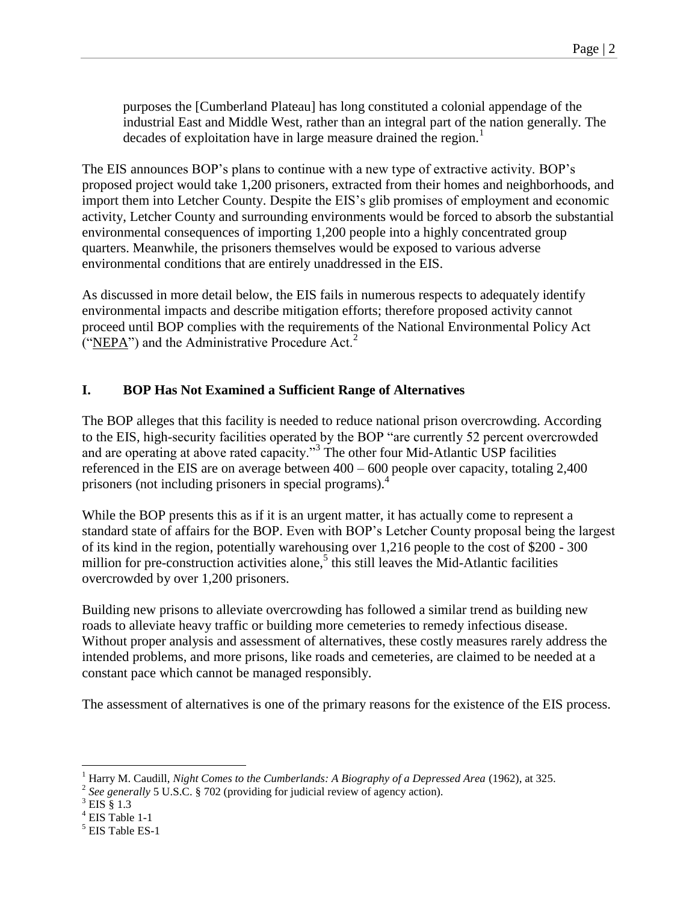purposes the [Cumberland Plateau] has long constituted a colonial appendage of the industrial East and Middle West, rather than an integral part of the nation generally. The decades of exploitation have in large measure drained the region.<sup>1</sup>

The EIS announces BOP's plans to continue with a new type of extractive activity. BOP's proposed project would take 1,200 prisoners, extracted from their homes and neighborhoods, and import them into Letcher County. Despite the EIS's glib promises of employment and economic activity, Letcher County and surrounding environments would be forced to absorb the substantial environmental consequences of importing 1,200 people into a highly concentrated group quarters. Meanwhile, the prisoners themselves would be exposed to various adverse environmental conditions that are entirely unaddressed in the EIS.

As discussed in more detail below, the EIS fails in numerous respects to adequately identify environmental impacts and describe mitigation efforts; therefore proposed activity cannot proceed until BOP complies with the requirements of the National Environmental Policy Act ("NEPA") and the Administrative Procedure Act.<sup>2</sup>

#### **I. BOP Has Not Examined a Sufficient Range of Alternatives**

The BOP alleges that this facility is needed to reduce national prison overcrowding. According to the EIS, high-security facilities operated by the BOP "are currently 52 percent overcrowded and are operating at above rated capacity."<sup>3</sup> The other four Mid-Atlantic USP facilities referenced in the EIS are on average between 400 – 600 people over capacity, totaling 2,400 prisoners (not including prisoners in special programs).<sup>4</sup>

While the BOP presents this as if it is an urgent matter, it has actually come to represent a standard state of affairs for the BOP. Even with BOP's Letcher County proposal being the largest of its kind in the region, potentially warehousing over 1,216 people to the cost of \$200 - 300 million for pre-construction activities alone,<sup>5</sup> this still leaves the Mid-Atlantic facilities overcrowded by over 1,200 prisoners.

Building new prisons to alleviate overcrowding has followed a similar trend as building new roads to alleviate heavy traffic or building more cemeteries to remedy infectious disease. Without proper analysis and assessment of alternatives, these costly measures rarely address the intended problems, and more prisons, like roads and cemeteries, are claimed to be needed at a constant pace which cannot be managed responsibly.

The assessment of alternatives is one of the primary reasons for the existence of the EIS process.

<sup>1</sup> Harry M. Caudill, *Night Comes to the Cumberlands: A Biography of a Depressed Area* (1962), at 325.

<sup>&</sup>lt;sup>2</sup> See generally 5 U.S.C. § 702 (providing for judicial review of agency action).

<sup>3</sup> EIS § 1.3

<sup>4</sup> EIS Table 1-1

<sup>5</sup> EIS Table ES-1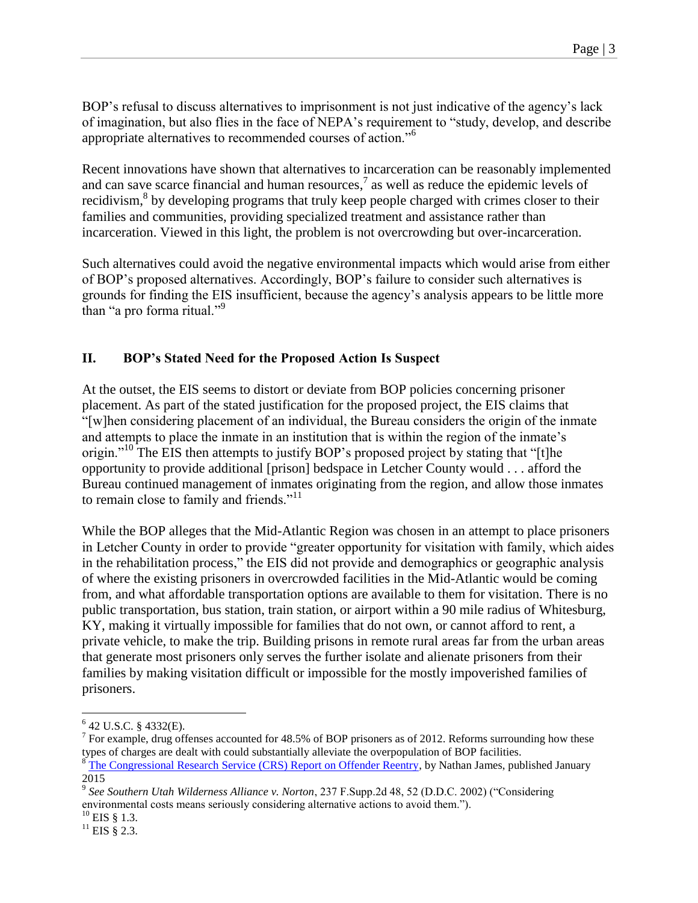BOP's refusal to discuss alternatives to imprisonment is not just indicative of the agency's lack of imagination, but also flies in the face of NEPA's requirement to "study, develop, and describe appropriate alternatives to recommended courses of action."<sup>6</sup>

Recent innovations have shown that alternatives to incarceration can be reasonably implemented and can save scarce financial and human resources, $\frac{7}{1}$  as well as reduce the epidemic levels of recidivism, $8$  by developing programs that truly keep people charged with crimes closer to their families and communities, providing specialized treatment and assistance rather than incarceration. Viewed in this light, the problem is not overcrowding but over-incarceration.

Such alternatives could avoid the negative environmental impacts which would arise from either of BOP's proposed alternatives. Accordingly, BOP's failure to consider such alternatives is grounds for finding the EIS insufficient, because the agency's analysis appears to be little more than "a pro forma ritual."<sup>9</sup>

## **II. BOP's Stated Need for the Proposed Action Is Suspect**

At the outset, the EIS seems to distort or deviate from BOP policies concerning prisoner placement. As part of the stated justification for the proposed project, the EIS claims that "[w]hen considering placement of an individual, the Bureau considers the origin of the inmate and attempts to place the inmate in an institution that is within the region of the inmate's origin."<sup>10</sup> The EIS then attempts to justify BOP's proposed project by stating that "[t]he opportunity to provide additional [prison] bedspace in Letcher County would . . . afford the Bureau continued management of inmates originating from the region, and allow those inmates to remain close to family and friends."<sup>11</sup>

While the BOP alleges that the Mid-Atlantic Region was chosen in an attempt to place prisoners in Letcher County in order to provide "greater opportunity for visitation with family, which aides in the rehabilitation process," the EIS did not provide and demographics or geographic analysis of where the existing prisoners in overcrowded facilities in the Mid-Atlantic would be coming from, and what affordable transportation options are available to them for visitation. There is no public transportation, bus station, train station, or airport within a 90 mile radius of Whitesburg, KY, making it virtually impossible for families that do not own, or cannot afford to rent, a private vehicle, to make the trip. Building prisons in remote rural areas far from the urban areas that generate most prisoners only serves the further isolate and alienate prisoners from their families by making visitation difficult or impossible for the mostly impoverished families of prisoners.

<sup>6</sup> 42 U.S.C. § 4332(E).

<sup>&</sup>lt;sup>7</sup> For example, drug offenses accounted for 48.5% of BOP prisoners as of 2012. Reforms surrounding how these types of charges are dealt with could substantially alleviate the overpopulation of BOP facilities. <sup>8</sup> [The Congressional Research Service \(CRS\) Report on Offender Reentry,](http://fas.org/sgp/crs/misc/RL34287.pdf) by Nathan James, published January 2015

<sup>9</sup> *See Southern Utah Wilderness Alliance v. Norton*, 237 F.Supp.2d 48, 52 (D.D.C. 2002) ("Considering environmental costs means seriously considering alternative actions to avoid them.").

 $^{10}$  EIS § 1.3.

 $^{11}$  EIS § 2.3.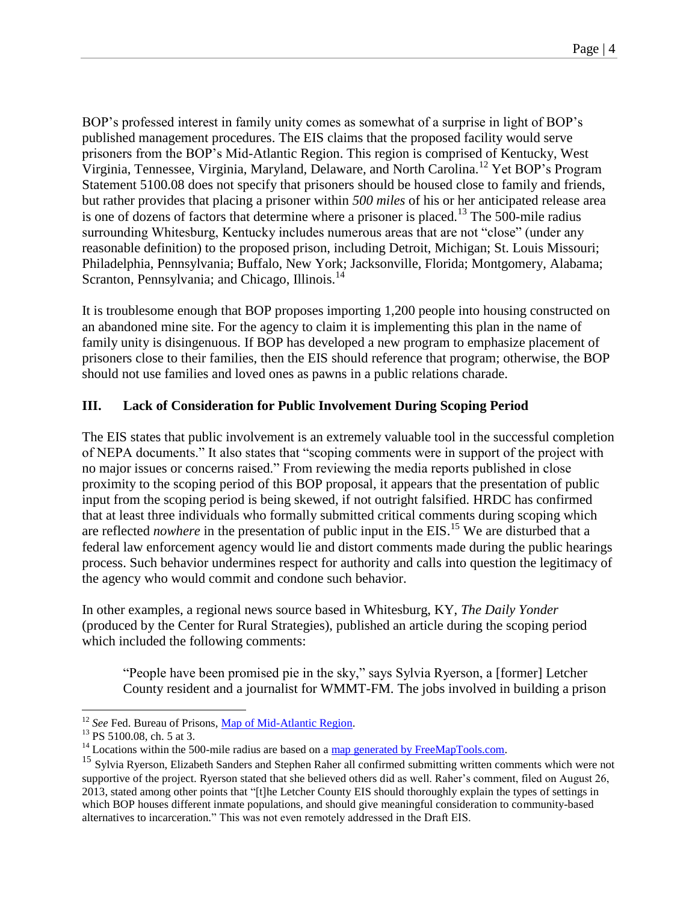BOP's professed interest in family unity comes as somewhat of a surprise in light of BOP's published management procedures. The EIS claims that the proposed facility would serve prisoners from the BOP's Mid-Atlantic Region. This region is comprised of Kentucky, West Virginia, Tennessee, Virginia, Maryland, Delaware, and North Carolina.<sup>12</sup> Yet BOP's Program Statement 5100.08 does not specify that prisoners should be housed close to family and friends, but rather provides that placing a prisoner within *500 miles* of his or her anticipated release area is one of dozens of factors that determine where a prisoner is placed.<sup>13</sup> The 500-mile radius surrounding Whitesburg, Kentucky includes numerous areas that are not "close" (under any reasonable definition) to the proposed prison, including Detroit, Michigan; St. Louis Missouri; Philadelphia, Pennsylvania; Buffalo, New York; Jacksonville, Florida; Montgomery, Alabama; Scranton, Pennsylvania; and Chicago, Illinois.<sup>14</sup>

It is troublesome enough that BOP proposes importing 1,200 people into housing constructed on an abandoned mine site. For the agency to claim it is implementing this plan in the name of family unity is disingenuous. If BOP has developed a new program to emphasize placement of prisoners close to their families, then the EIS should reference that program; otherwise, the BOP should not use families and loved ones as pawns in a public relations charade.

## **III. Lack of Consideration for Public Involvement During Scoping Period**

The EIS states that public involvement is an extremely valuable tool in the successful completion of NEPA documents." It also states that "scoping comments were in support of the project with no major issues or concerns raised." From reviewing the media reports published in close proximity to the scoping period of this BOP proposal, it appears that the presentation of public input from the scoping period is being skewed, if not outright falsified. HRDC has confirmed that at least three individuals who formally submitted critical comments during scoping which are reflected *nowhere* in the presentation of public input in the EIS. <sup>15</sup> We are disturbed that a federal law enforcement agency would lie and distort comments made during the public hearings process. Such behavior undermines respect for authority and calls into question the legitimacy of the agency who would commit and condone such behavior.

In other examples, a regional news source based in Whitesburg, KY, *The Daily Yonder* (produced by the Center for Rural Strategies), published an article during the scoping period which included the following comments:

"People have been promised pie in the sky," says Sylvia Ryerson, a [former] Letcher County resident and a journalist for WMMT-FM. The jobs involved in building a prison

 $\overline{a}$ <sup>12</sup> *See* Fed. Bureau of Prisons, [Map of Mid-Atlantic Region.](http://www.bop.gov/locations/map.jsp?region=MXR)

<sup>&</sup>lt;sup>13</sup> PS 5100.08, ch. 5 at 3.

 $14$  Locations within the 500-mile radius are based on [a map generated by FreeMapTools.com.](http://www.freemaptools.com/radius-around-point.htm?clat=37.1184318&clng=-82.82682649999998&r=804.672000307346&lc=FFFFFF&lw=1&fc=00FF00&fs=true)

<sup>&</sup>lt;sup>15</sup> Sylvia Ryerson, Elizabeth Sanders and Stephen Raher all confirmed submitting written comments which were not supportive of the project. Ryerson stated that she believed others did as well. Raher's comment, filed on August 26, 2013, stated among other points that "[t]he Letcher County EIS should thoroughly explain the types of settings in which BOP houses different inmate populations, and should give meaningful consideration to community-based alternatives to incarceration." This was not even remotely addressed in the Draft EIS.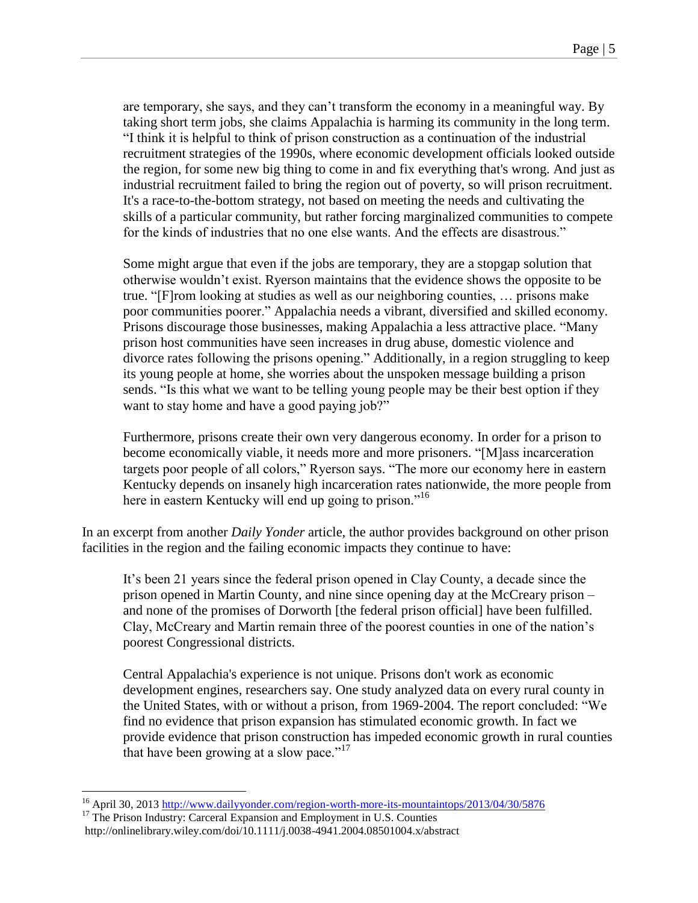are temporary, she says, and they can't transform the economy in a meaningful way. By taking short term jobs, she claims Appalachia is harming its community in the long term. "I think it is helpful to think of prison construction as a continuation of the industrial recruitment strategies of the 1990s, where economic development officials looked outside the region, for some new big thing to come in and fix everything that's wrong. And just as industrial recruitment failed to bring the region out of poverty, so will prison recruitment. It's a race-to-the-bottom strategy, not based on meeting the needs and cultivating the skills of a particular community, but rather forcing marginalized communities to compete for the kinds of industries that no one else wants. And the effects are disastrous."

Some might argue that even if the jobs are temporary, they are a stopgap solution that otherwise wouldn't exist. Ryerson maintains that the evidence shows the opposite to be true. "[F]rom looking at studies as well as our neighboring counties, … prisons make poor communities poorer." Appalachia needs a vibrant, diversified and skilled economy. Prisons discourage those businesses, making Appalachia a less attractive place. "Many prison host communities have seen increases in drug abuse, domestic violence and divorce rates following the prisons opening." Additionally, in a region struggling to keep its young people at home, she worries about the unspoken message building a prison sends. "Is this what we want to be telling young people may be their best option if they want to stay home and have a good paying job?"

Furthermore, prisons create their own very dangerous economy. In order for a prison to become economically viable, it needs more and more prisoners. "[M]ass incarceration targets poor people of all colors," Ryerson says. "The more our economy here in eastern Kentucky depends on insanely high incarceration rates nationwide, the more people from here in eastern Kentucky will end up going to prison."<sup>16</sup>

In an excerpt from another *Daily Yonder* article, the author provides background on other prison facilities in the region and the failing economic impacts they continue to have:

It's been 21 years since the federal prison opened in Clay County, a decade since the prison opened in Martin County, and nine since opening day at the McCreary prison – and none of the promises of Dorworth [the federal prison official] have been fulfilled. Clay, McCreary and Martin remain three of the poorest counties in one of the nation's poorest Congressional districts.

Central Appalachia's experience is not unique. Prisons don't work as economic development engines, researchers say. One study analyzed data on every rural county in the United States, with or without a prison, from 1969-2004. The report concluded: "We find no evidence that prison expansion has stimulated economic growth. In fact we provide evidence that prison construction has impeded economic growth in rural counties that have been growing at a slow pace."<sup>17</sup>

<sup>16</sup> April 30, 2013<http://www.dailyyonder.com/region-worth-more-its-mountaintops/2013/04/30/5876>

<sup>&</sup>lt;sup>17</sup> The Prison Industry: Carceral Expansion and Employment in U.S. Counties http://onlinelibrary.wiley.com/doi/10.1111/j.0038-4941.2004.08501004.x/abstract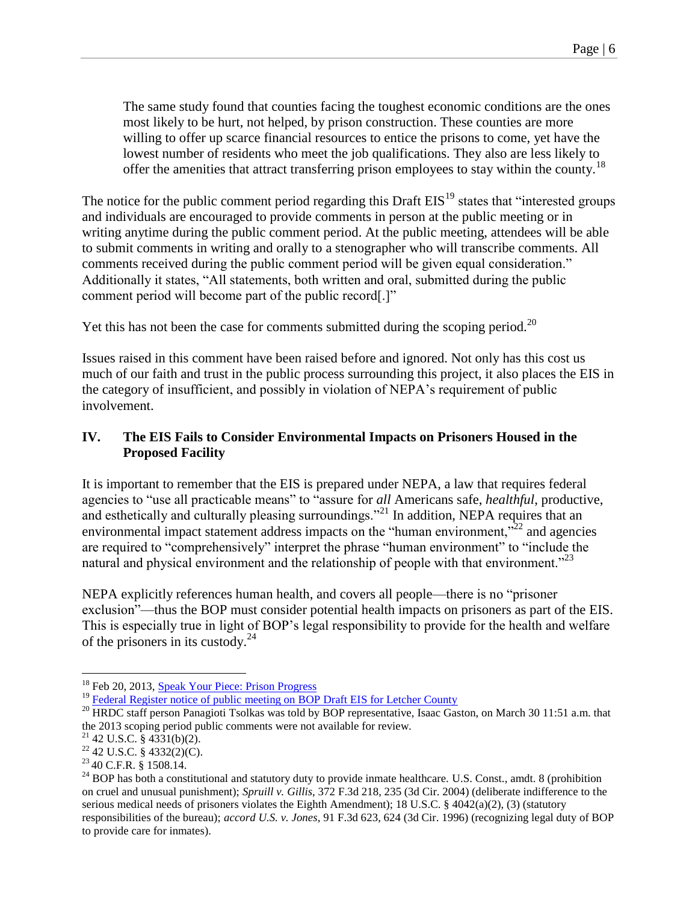The same study found that counties facing the toughest economic conditions are the ones most likely to be hurt, not helped, by prison construction. These counties are more willing to offer up scarce financial resources to entice the prisons to come, yet have the lowest number of residents who meet the job qualifications. They also are less likely to offer the amenities that attract transferring prison employees to stay within the county.<sup>18</sup>

The notice for the public comment period regarding this Draft  $EIS<sup>19</sup>$  states that "interested groups" and individuals are encouraged to provide comments in person at the public meeting or in writing anytime during the public comment period. At the public meeting, attendees will be able to submit comments in writing and orally to a stenographer who will transcribe comments. All comments received during the public comment period will be given equal consideration." Additionally it states, "All statements, both written and oral, submitted during the public comment period will become part of the public record[.]"

Yet this has not been the case for comments submitted during the scoping period.<sup>20</sup>

Issues raised in this comment have been raised before and ignored. Not only has this cost us much of our faith and trust in the public process surrounding this project, it also places the EIS in the category of insufficient, and possibly in violation of NEPA's requirement of public involvement.

### **IV. The EIS Fails to Consider Environmental Impacts on Prisoners Housed in the Proposed Facility**

It is important to remember that the EIS is prepared under NEPA, a law that requires federal agencies to "use all practicable means" to "assure for *all* Americans safe, *healthful*, productive, and esthetically and culturally pleasing surroundings."<sup>21</sup> In addition, NEPA requires that an environmental impact statement address impacts on the "human environment,"<sup>22</sup> and agencies are required to "comprehensively" interpret the phrase "human environment" to "include the natural and physical environment and the relationship of people with that environment.<sup> $23$ </sup>

NEPA explicitly references human health, and covers all people—there is no "prisoner exclusion"—thus the BOP must consider potential health impacts on prisoners as part of the EIS. This is especially true in light of BOP's legal responsibility to provide for the health and welfare of the prisoners in its custody. $^{24}$ 

<sup>&</sup>lt;sup>18</sup> Feb 20, 2013[, Speak Your Piece:](http://www.dailyyonder.com/speak-your-piece-prison-progress/2013/02/12/5651) Prison Progress

<sup>&</sup>lt;sup>19</sup> [Federal Register notice](https://www.federalregister.gov/articles/2015/02/10/2015-02663/notice-of-public-meeting-for-the-draft-environmental-impact-statement-for-proposed-united-states) of public meeting on BOP Draft EIS for Letcher County

<sup>&</sup>lt;sup>20</sup> HRDC staff person Panagioti Tsolkas was told by BOP representative, Isaac Gaston, on March 30 11:51 a.m. that the 2013 scoping period public comments were not available for review.

 $21$  42 U.S.C. § 4331(b)(2).

 $22$  42 U.S.C. § 4332(2)(C).

<sup>23</sup> 40 C.F.R. § 1508.14.

<sup>&</sup>lt;sup>24</sup> BOP has both a constitutional and statutory duty to provide inmate healthcare. U.S. Const., amdt. 8 (prohibition on cruel and unusual punishment); *Spruill v. Gillis*, 372 F.3d 218, 235 (3d Cir. 2004) (deliberate indifference to the serious medical needs of prisoners violates the Eighth Amendment); 18 U.S.C. § 4042(a)(2), (3) (statutory responsibilities of the bureau); *accord U.S. v. Jones*, 91 F.3d 623, 624 (3d Cir. 1996) (recognizing legal duty of BOP to provide care for inmates).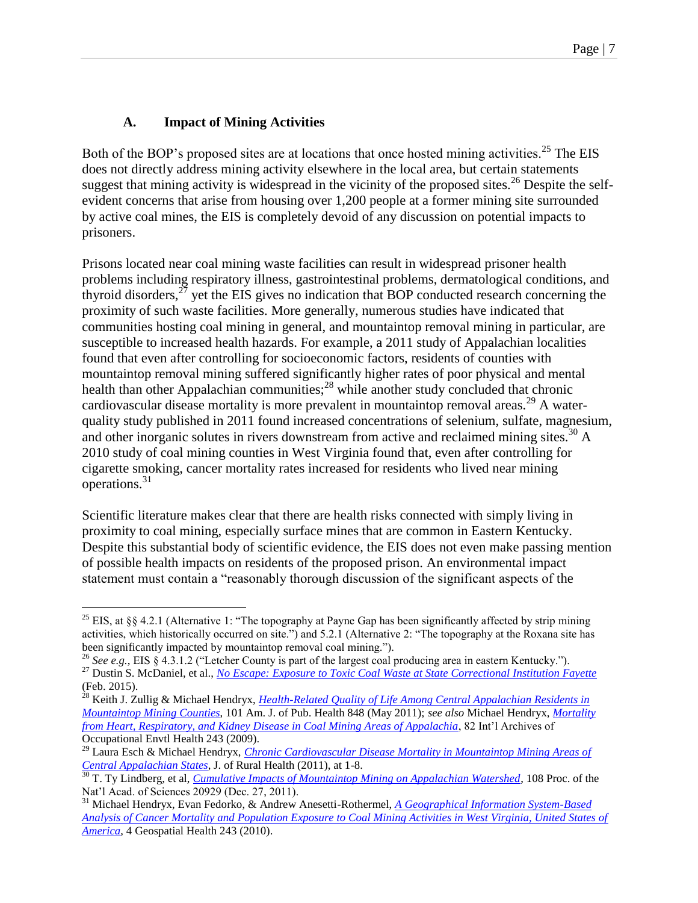## **A. Impact of Mining Activities**

 $\overline{a}$ 

Both of the BOP's proposed sites are at locations that once hosted mining activities.<sup>25</sup> The EIS does not directly address mining activity elsewhere in the local area, but certain statements suggest that mining activity is widespread in the vicinity of the proposed sites.<sup>26</sup> Despite the selfevident concerns that arise from housing over 1,200 people at a former mining site surrounded by active coal mines, the EIS is completely devoid of any discussion on potential impacts to prisoners.

Prisons located near coal mining waste facilities can result in widespread prisoner health problems including respiratory illness, gastrointestinal problems, dermatological conditions, and thyroid disorders, $^{27}$  yet the EIS gives no indication that BOP conducted research concerning the proximity of such waste facilities. More generally, numerous studies have indicated that communities hosting coal mining in general, and mountaintop removal mining in particular, are susceptible to increased health hazards. For example, a 2011 study of Appalachian localities found that even after controlling for socioeconomic factors, residents of counties with mountaintop removal mining suffered significantly higher rates of poor physical and mental health than other Appalachian communities; $^{28}$  while another study concluded that chronic cardiovascular disease mortality is more prevalent in mountaintop removal areas.<sup>29</sup> A waterquality study published in 2011 found increased concentrations of selenium, sulfate, magnesium, and other inorganic solutes in rivers downstream from active and reclaimed mining sites.<sup>30</sup> A 2010 study of coal mining counties in West Virginia found that, even after controlling for cigarette smoking, cancer mortality rates increased for residents who lived near mining operations.<sup>31</sup>

Scientific literature makes clear that there are health risks connected with simply living in proximity to coal mining, especially surface mines that are common in Eastern Kentucky. Despite this substantial body of scientific evidence, the EIS does not even make passing mention of possible health impacts on residents of the proposed prison. An environmental impact statement must contain a "reasonably thorough discussion of the significant aspects of the

<sup>&</sup>lt;sup>25</sup> EIS, at §§ 4.2.1 (Alternative 1: "The topography at Payne Gap has been significantly affected by strip mining activities, which historically occurred on site.") and 5.2.1 (Alternative 2: "The topography at the Roxana site has been significantly impacted by mountaintop removal coal mining.").

<sup>26</sup> *See e.g.*, EIS § 4.3.1.2 ("Letcher County is part of the largest coal producing area in eastern Kentucky."). <sup>27</sup> Dustin S. McDaniel, et al., *[No Escape: Exposure to Toxic Coal Waste at State Correctional Institution Fayette](https://abolitionistlawcenter.files.wordpress.com/2014/09/no-escape-3-3mb.pdf)* (Feb. 2015).

<sup>28</sup> Keith J. Zullig & Michael Hendryx, *Health-Related [Quality of Life Among Central Appalachian Residents in](http://crmw.net/files/Zullig_Hendryx_Health_related_quality_of_life_2011.pdf)  [Mountaintop Mining Counties](http://crmw.net/files/Zullig_Hendryx_Health_related_quality_of_life_2011.pdf)*, 101 Am. J. of Pub. Health 848 (May 2011); *see also* Michael Hendryx, *[Mortality](http://crmw.net/files/Hendryx_mortality_from_heart_respiratory_and_kidney_disease_2009.pdf)  [from Heart, Respiratory, and Kidney Disease in Coal Mining Areas of Appalachia](http://crmw.net/files/Hendryx_mortality_from_heart_respiratory_and_kidney_disease_2009.pdf)*, 82 Int'l Archives of Occupational Envtl Health 243 (2009).

<sup>29</sup> Laura Esch & Michael Hendryx, *[Chronic Cardiovascular Disease Mortality in Mountaintop Mining Areas of](http://crmw.net/files/Esch_Hendryx_Chronic_cardiovascular_disease_mortality_in_MTR_2011.pdf)  [Central Appalachian States](http://crmw.net/files/Esch_Hendryx_Chronic_cardiovascular_disease_mortality_in_MTR_2011.pdf)*, J. of Rural Health (2011), at 1-8.

<sup>30</sup> T. Ty Lindberg, et al, *[Cumulative Impacts of Mountaintop Mining on Appalachian Watershed](http://www.pnas.org/content/108/52/20929)*, 108 Proc. of the Nat'l Acad. of Sciences 20929 (Dec. 27, 2011).

<sup>31</sup> Michael Hendryx, Evan Fedorko, & Andrew Anesetti-Rothermel, *[A Geographical Information System-Based](http://crmw.net/files/Hendryx_et_al_A%20GIS-based_analysis_of_cancer_mortality_2010.pdf)  [Analysis of Cancer Mortality and Population Exposure to Coal Mining Activities in West Virginia, United States of](http://crmw.net/files/Hendryx_et_al_A%20GIS-based_analysis_of_cancer_mortality_2010.pdf)  [America](http://crmw.net/files/Hendryx_et_al_A%20GIS-based_analysis_of_cancer_mortality_2010.pdf)*, 4 Geospatial Health 243 (2010).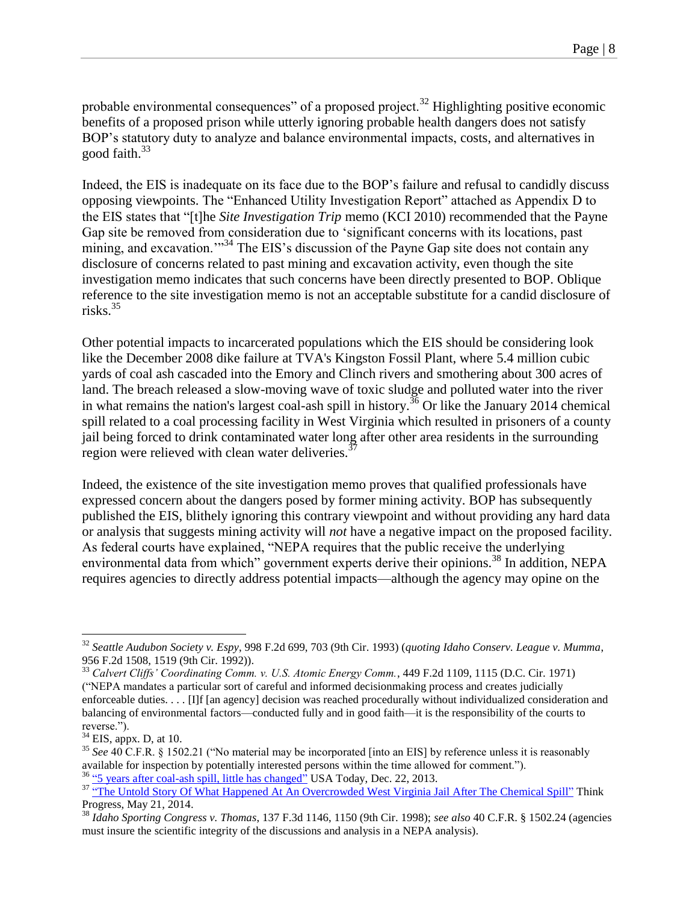probable environmental consequences" of a proposed project.<sup>32</sup> Highlighting positive economic benefits of a proposed prison while utterly ignoring probable health dangers does not satisfy BOP's statutory duty to analyze and balance environmental impacts, costs, and alternatives in good faith.<sup>33</sup>

Indeed, the EIS is inadequate on its face due to the BOP's failure and refusal to candidly discuss opposing viewpoints. The "Enhanced Utility Investigation Report" attached as Appendix D to the EIS states that "[t]he *Site Investigation Trip* memo (KCI 2010) recommended that the Payne Gap site be removed from consideration due to 'significant concerns with its locations, past mining, and excavation.<sup>"34</sup> The EIS's discussion of the Payne Gap site does not contain any disclosure of concerns related to past mining and excavation activity, even though the site investigation memo indicates that such concerns have been directly presented to BOP. Oblique reference to the site investigation memo is not an acceptable substitute for a candid disclosure of risks. $35$ 

Other potential impacts to incarcerated populations which the EIS should be considering look like the December 2008 dike failure at TVA's Kingston Fossil Plant, where 5.4 million cubic yards of coal ash cascaded into the Emory and Clinch rivers and smothering about 300 acres of land. The breach released a slow-moving wave of toxic sludge and polluted water into the river in what remains the nation's largest coal-ash spill in history.<sup>36</sup> Or like the January 2014 chemical spill related to a coal processing facility in West Virginia which resulted in prisoners of a county jail being forced to drink contaminated water long after other area residents in the surrounding region were relieved with clean water deliveries.

Indeed, the existence of the site investigation memo proves that qualified professionals have expressed concern about the dangers posed by former mining activity. BOP has subsequently published the EIS, blithely ignoring this contrary viewpoint and without providing any hard data or analysis that suggests mining activity will *not* have a negative impact on the proposed facility. As federal courts have explained, "NEPA requires that the public receive the underlying environmental data from which" government experts derive their opinions.<sup>38</sup> In addition, NEPA requires agencies to directly address potential impacts—although the agency may opine on the

<sup>32</sup> *Seattle Audubon Society v. Espy*, 998 F.2d 699, 703 (9th Cir. 1993) (*quoting Idaho Conserv. League v. Mumma*, 956 F.2d 1508, 1519 (9th Cir. 1992)).

<sup>33</sup> *Calvert Cliffs' Coordinating Comm. v. U.S. Atomic Energy Comm.*, 449 F.2d 1109, 1115 (D.C. Cir. 1971) ("NEPA mandates a particular sort of careful and informed decisionmaking process and creates judicially enforceable duties. . . . [I]f [an agency] decision was reached procedurally without individualized consideration and balancing of environmental factors—conducted fully and in good faith—it is the responsibility of the courts to reverse.").

 $34$  EIS, appx. D, at 10.

<sup>35</sup> *See* 40 C.F.R. § 1502.21 ("No material may be incorporated [into an EIS] by reference unless it is reasonably available for inspection by potentially interested persons within the time allowed for comment."). <sup>36</sup> ["5 years after coal-ash spill, little has changed"](http://www.usatoday.com/story/news/nation/2013/12/22/coal-ash-spill/4143995/) USA Today, Dec. 22, 2013.

<sup>&</sup>lt;sup>37</sup> ["The Untold Story Of What Happened At An Overcrowded West Virginia Jail After The Chemical Spill"](http://thinkprogress.org/climate/2014/05/21/3439864/the-untold-story-of-what-happened-at-an-overcrowded-west-virigina-jail-after-the-chemical-spill/) Think Progress, May 21, 2014.

<sup>38</sup> *Idaho Sporting Congress v. Thomas*, 137 F.3d 1146, 1150 (9th Cir. 1998); *see also* 40 C.F.R. § 1502.24 (agencies must insure the scientific integrity of the discussions and analysis in a NEPA analysis).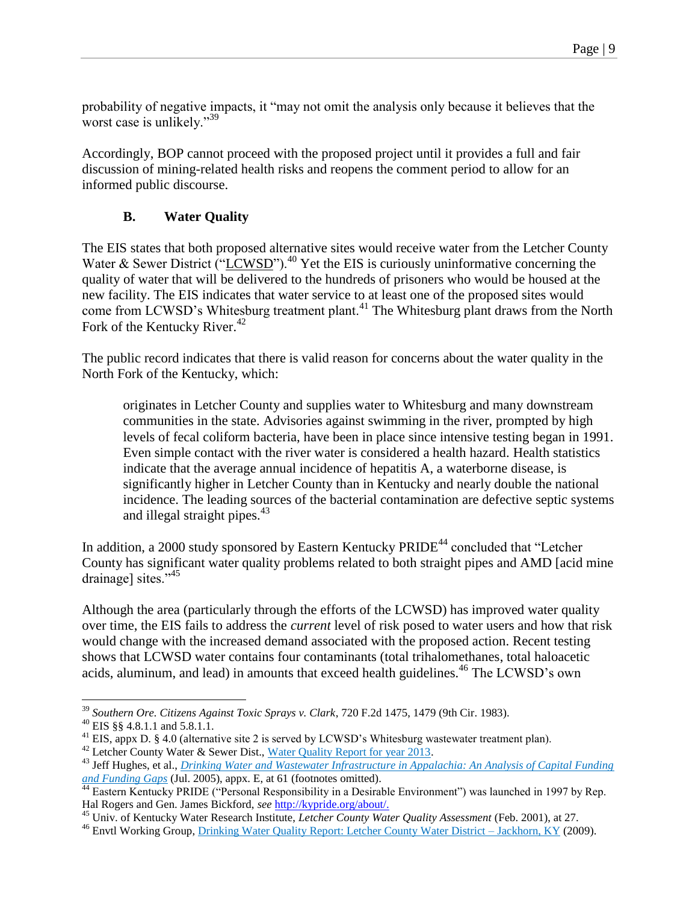probability of negative impacts, it "may not omit the analysis only because it believes that the worst case is unlikely."<sup>39</sup>

Accordingly, BOP cannot proceed with the proposed project until it provides a full and fair discussion of mining-related health risks and reopens the comment period to allow for an informed public discourse.

## **B. Water Quality**

The EIS states that both proposed alternative sites would receive water from the Letcher County Water & Sewer District ("LCWSD").<sup>40</sup> Yet the EIS is curiously uninformative concerning the quality of water that will be delivered to the hundreds of prisoners who would be housed at the new facility. The EIS indicates that water service to at least one of the proposed sites would come from LCWSD's Whitesburg treatment plant.<sup>41</sup> The Whitesburg plant draws from the North Fork of the Kentucky River.<sup>42</sup>

The public record indicates that there is valid reason for concerns about the water quality in the North Fork of the Kentucky, which:

<span id="page-8-1"></span><span id="page-8-0"></span>originates in Letcher County and supplies water to Whitesburg and many downstream communities in the state. Advisories against swimming in the river, prompted by high levels of fecal coliform bacteria, have been in place since intensive testing began in 1991. Even simple contact with the river water is considered a health hazard. Health statistics indicate that the average annual incidence of hepatitis A, a waterborne disease, is significantly higher in Letcher County than in Kentucky and nearly double the national incidence. The leading sources of the bacterial contamination are defective septic systems and illegal straight pipes. $43$ 

In addition, a 2000 study sponsored by Eastern Kentucky  $PRIDE^{44}$  concluded that "Letcher County has significant water quality problems related to both straight pipes and AMD [acid mine drainage] sites."45

Although the area (particularly through the efforts of the LCWSD) has improved water quality over time, the EIS fails to address the *current* level of risk posed to water users and how that risk would change with the increased demand associated with the proposed action. Recent testing shows that LCWSD water contains four contaminants (total trihalomethanes, total haloacetic acids, aluminum, and lead) in amounts that exceed health guidelines.<sup>46</sup> The LCWSD's own

<sup>39</sup> *Southern Ore. Citizens Against Toxic Sprays v. Clark*, 720 F.2d 1475, 1479 (9th Cir. 1983).

<sup>40</sup> EIS §§ 4.8.1.1 and 5.8.1.1.

<sup>&</sup>lt;sup>41</sup> EIS, appx D. § 4.0 (alternative site 2 is served by LCWSD's Whitesburg wastewater treatment plan).

 $42$  Letcher County Water & Sewer Dist., [Water Quality Report for year 2013.](http://www.lcwsdist.com/?2013_CCR)

<sup>43</sup> Jeff Hughes, et al., *[Drinking Water and Wastewater Infrastructure in Appalachia: An Analysis of Capital Funding](http://www.arc.gov/research/researchreportdetails.asp?REPORT_ID=21)  [and Funding Gaps](http://www.arc.gov/research/researchreportdetails.asp?REPORT_ID=21)* (Jul. 2005), appx. E, at 61 (footnotes omitted).

<sup>&</sup>lt;sup>44</sup> Eastern Kentucky PRIDE ("Personal Responsibility in a Desirable Environment") was launched in 1997 by Rep. Hal Rogers and Gen. James Bickford, *see* [http://kypride.org/about/.](http://kypride.org/about/)

<sup>45</sup> Univ. of Kentucky Water Research Institute, *Letcher County Water Quality Assessment* (Feb. 2001), at 27.

<sup>&</sup>lt;sup>46</sup> Envtl Working Group, [Drinking Water Quality Report: Letcher County Water District –](http://www.ewg.org/tap-water/whatsinyourwater/KY/Letcher-County-Water-District/0670462/) Jackhorn, KY (2009).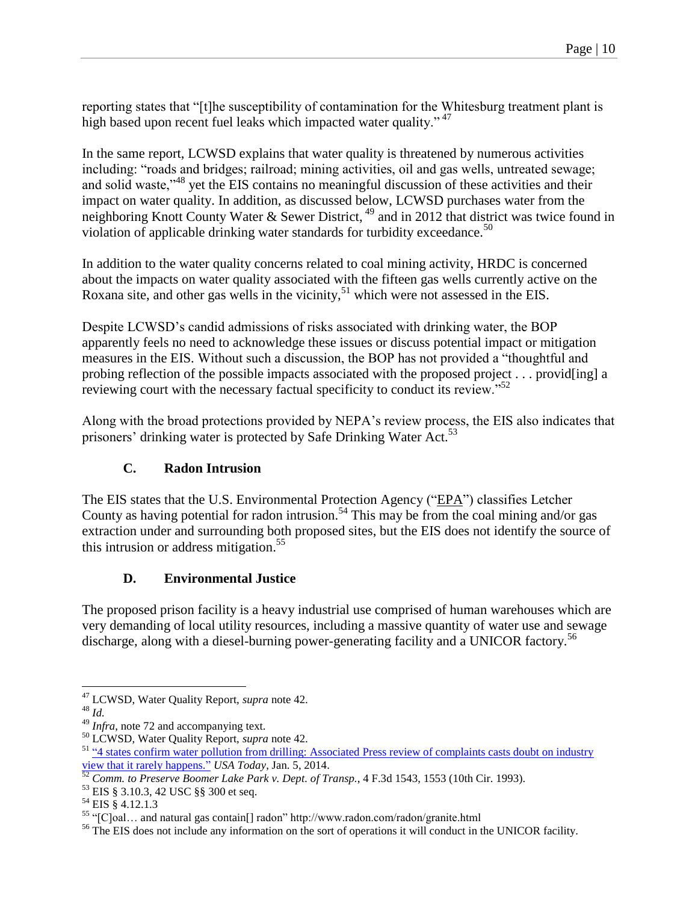reporting states that "[t]he susceptibility of contamination for the Whitesburg treatment plant is high based upon recent fuel leaks which impacted water quality."<sup>47</sup>

In the same report, LCWSD explains that water quality is threatened by numerous activities including: "roads and bridges; railroad; mining activities, oil and gas wells, untreated sewage; and solid waste,"<sup>48</sup> yet the EIS contains no meaningful discussion of these activities and their impact on water quality. In addition, as discussed below, LCWSD purchases water from the neighboring Knott County Water & Sewer District, <sup>49</sup> and in 2012 that district was twice found in violation of applicable drinking water standards for turbidity exceedance.<sup>50</sup>

In addition to the water quality concerns related to coal mining activity, HRDC is concerned about the impacts on water quality associated with the fifteen gas wells currently active on the Roxana site, and other gas wells in the vicinity,  $51$  which were not assessed in the EIS.

Despite LCWSD's candid admissions of risks associated with drinking water, the BOP apparently feels no need to acknowledge these issues or discuss potential impact or mitigation measures in the EIS. Without such a discussion, the BOP has not provided a "thoughtful and probing reflection of the possible impacts associated with the proposed project . . . provid[ing] a reviewing court with the necessary factual specificity to conduct its review.<sup>"52</sup>

Along with the broad protections provided by NEPA's review process, the EIS also indicates that prisoners' drinking water is protected by Safe Drinking Water Act.<sup>53</sup>

# **C. Radon Intrusion**

The EIS states that the U.S. Environmental Protection Agency ("EPA") classifies Letcher County as having potential for radon intrusion.<sup>54</sup> This may be from the coal mining and/or gas extraction under and surrounding both proposed sites, but the EIS does not identify the source of this intrusion or address mitigation.<sup>55</sup>

# **D. Environmental Justice**

The proposed prison facility is a heavy industrial use comprised of human warehouses which are very demanding of local utility resources, including a massive quantity of water use and sewage discharge, along with a diesel-burning power-generating facility and a UNICOR factory.<sup>56</sup>

 $\overline{a}$ <sup>47</sup> LCWSD, Water Quality Report, *supra* not[e 42.](#page-8-0)

<sup>48</sup> *Id.*

<sup>&</sup>lt;sup>49</sup> *Infra*, not[e 72](#page-12-0) and accompanying text.

<sup>50</sup> LCWSD, Water Quality Report, *supra* not[e 42.](#page-8-0)

<sup>&</sup>lt;sup>51</sup> "4 states confirm water pollution from drilling: Associated Press review of complaints casts doubt on industry [view that it rarely happens."](http://www.usatoday.com/story/money/business/2014/01/05/some-states-confirm-water-pollution-from-drilling/4328859/) *USA Today*, Jan. 5, 2014.

<sup>52</sup> *Comm. to Preserve Boomer Lake Park v. Dept. of Transp.*, 4 F.3d 1543, 1553 (10th Cir. 1993).

<sup>53</sup> EIS § 3.10.3, 42 USC §§ 300 et seq.

<sup>54</sup> EIS § 4.12.1.3

<sup>55</sup> "[C]oal… and natural gas contain[] radon" http://www.radon.com/radon/granite.html

<sup>&</sup>lt;sup>56</sup> The EIS does not include any information on the sort of operations it will conduct in the UNICOR facility.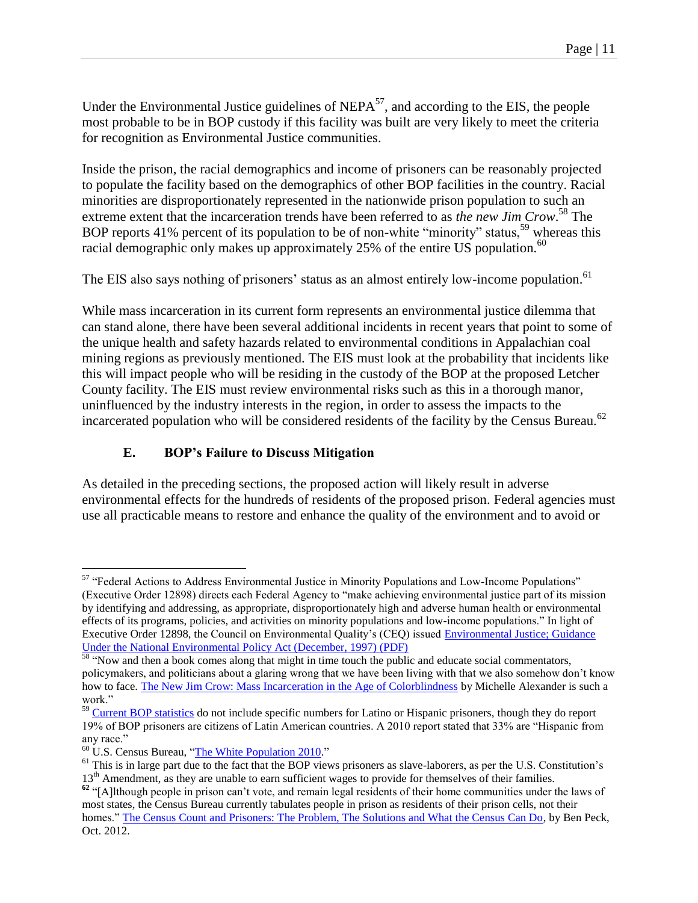Under the Environmental Justice guidelines of  $NEPA^{57}$ , and according to the EIS, the people most probable to be in BOP custody if this facility was built are very likely to meet the criteria for recognition as Environmental Justice communities.

Inside the prison, the racial demographics and income of prisoners can be reasonably projected to populate the facility based on the demographics of other BOP facilities in the country. Racial minorities are disproportionately represented in the nationwide prison population to such an extreme extent that the incarceration trends have been referred to as *the new Jim Crow*. <sup>58</sup> The BOP reports 41% percent of its population to be of non-white "minority" status,<sup>59</sup> whereas this racial demographic only makes up approximately 25% of the entire US population.<sup>60</sup>

The EIS also says nothing of prisoners' status as an almost entirely low-income population.<sup>61</sup>

While mass incarceration in its current form represents an environmental justice dilemma that can stand alone, there have been several additional incidents in recent years that point to some of the unique health and safety hazards related to environmental conditions in Appalachian coal mining regions as previously mentioned. The EIS must look at the probability that incidents like this will impact people who will be residing in the custody of the BOP at the proposed Letcher County facility. The EIS must review environmental risks such as this in a thorough manor, uninfluenced by the industry interests in the region, in order to assess the impacts to the incarcerated population who will be considered residents of the facility by the Census Bureau.<sup>62</sup>

## **E. BOP's Failure to Discuss Mitigation**

As detailed in the preceding sections, the proposed action will likely result in adverse environmental effects for the hundreds of residents of the proposed prison. Federal agencies must use all practicable means to restore and enhance the quality of the environment and to avoid or

<sup>&</sup>lt;sup>57</sup> "Federal Actions to Address Environmental Justice in Minority Populations and Low-Income Populations" (Executive Order 12898) directs each Federal Agency to "make achieving environmental justice part of its mission by identifying and addressing, as appropriate, disproportionately high and adverse human health or environmental effects of its programs, policies, and activities on minority populations and low-income populations." In light of Executive Order 12898, the Council on Environmental Quality's (CEQ) issued [Environmental Justice; Guidance](http://www.epa.gov/environmentaljustice/resources/policy/ej_guidance_nepa_ceq1297.pdf)  [Under the National Environmental Policy Act \(December, 1997\) \(PDF\)](http://www.epa.gov/environmentaljustice/resources/policy/ej_guidance_nepa_ceq1297.pdf) 

<sup>&</sup>lt;sup>58</sup> "Now and then a book comes along that might in time touch the public and educate social commentators, policymakers, and politicians about a glaring wrong that we have been living with that we also somehow don't know how to face[. The New Jim Crow: Mass Incarceration in the Age of Colorblindness](http://newjimcrow.com/praise-for-the-new-jim-crow) by Michelle Alexander is such a work."

<sup>&</sup>lt;sup>59</sup> [Current BOP statistics](http://www.bop.gov/about/statistics/statistics_inmate_race.jsp) do not include specific numbers for Latino or Hispanic prisoners, though they do report 19% of BOP prisoners are citizens of Latin American countries. A 2010 report stated that 33% are "Hispanic from any race."

<sup>60</sup> U.S. Census Bureau, ["The White Population 2010.](http://www.census.gov/prod/cen2010/briefs/c2010br-05.pdf)"

 $61$  This is in large part due to the fact that the BOP views prisoners as slave-laborers, as per the U.S. Constitution's 13<sup>th</sup> Amendment, as they are unable to earn sufficient wages to provide for themselves of their families.

<sup>&</sup>lt;sup>62</sup> "[A]lthough people in prison can't vote, and remain legal residents of their home communities under the laws of most states, the Census Bureau currently tabulates people in prison as residents of their prison cells, not their homes." [The Census Count and Prisoners: The Problem, The Solutions and What the Census Can Do,](http://www.demos.org/publication/census-count-and-prisoners-problem-solutions-and-what-census-can-do) by Ben Peck, Oct. 2012.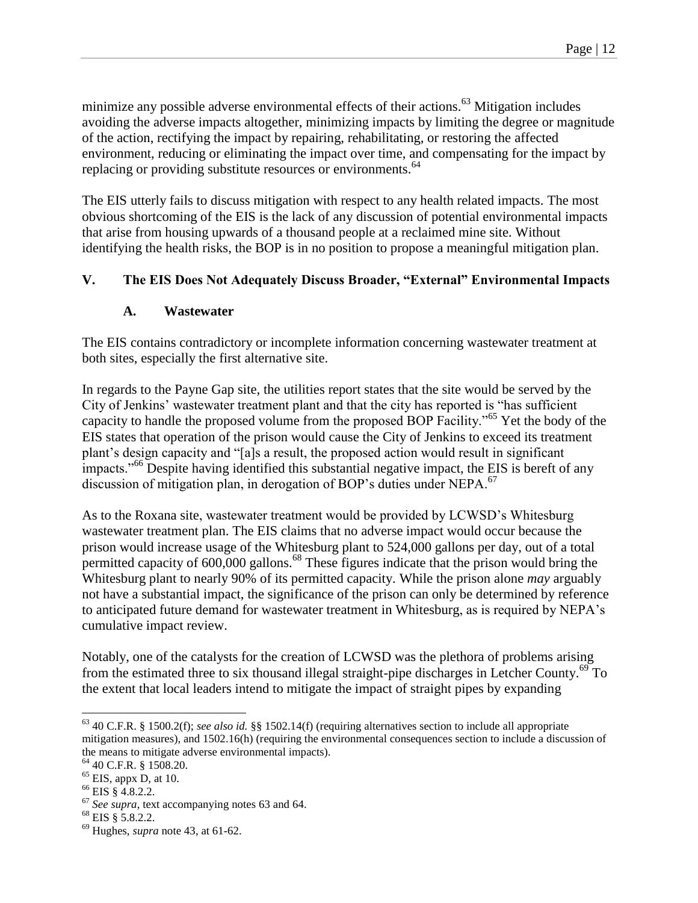<span id="page-11-0"></span>minimize any possible adverse environmental effects of their actions.<sup>63</sup> Mitigation includes avoiding the adverse impacts altogether, minimizing impacts by limiting the degree or magnitude of the action, rectifying the impact by repairing, rehabilitating, or restoring the affected environment, reducing or eliminating the impact over time, and compensating for the impact by replacing or providing substitute resources or environments.<sup>64</sup>

The EIS utterly fails to discuss mitigation with respect to any health related impacts. The most obvious shortcoming of the EIS is the lack of any discussion of potential environmental impacts that arise from housing upwards of a thousand people at a reclaimed mine site. Without identifying the health risks, the BOP is in no position to propose a meaningful mitigation plan.

## **V. The EIS Does Not Adequately Discuss Broader, "External" Environmental Impacts**

#### <span id="page-11-1"></span>**A. Wastewater**

The EIS contains contradictory or incomplete information concerning wastewater treatment at both sites, especially the first alternative site.

In regards to the Payne Gap site, the utilities report states that the site would be served by the City of Jenkins' wastewater treatment plant and that the city has reported is "has sufficient capacity to handle the proposed volume from the proposed BOP Facility."<sup>65</sup> Yet the body of the EIS states that operation of the prison would cause the City of Jenkins to exceed its treatment plant's design capacity and "[a]s a result, the proposed action would result in significant impacts."<sup>66</sup> Despite having identified this substantial negative impact, the EIS is bereft of any discussion of mitigation plan, in derogation of BOP's duties under NEPA. $^{67}$ 

As to the Roxana site, wastewater treatment would be provided by LCWSD's Whitesburg wastewater treatment plan. The EIS claims that no adverse impact would occur because the prison would increase usage of the Whitesburg plant to 524,000 gallons per day, out of a total permitted capacity of 600,000 gallons.<sup>68</sup> These figures indicate that the prison would bring the Whitesburg plant to nearly 90% of its permitted capacity. While the prison alone *may* arguably not have a substantial impact, the significance of the prison can only be determined by reference to anticipated future demand for wastewater treatment in Whitesburg, as is required by NEPA's cumulative impact review.

Notably, one of the catalysts for the creation of LCWSD was the plethora of problems arising from the estimated three to six thousand illegal straight-pipe discharges in Letcher County.<sup>69</sup> To the extent that local leaders intend to mitigate the impact of straight pipes by expanding

<sup>63</sup> 40 C.F.R. § 1500.2(f); *see also id.* §§ 1502.14(f) (requiring alternatives section to include all appropriate mitigation measures), and 1502.16(h) (requiring the environmental consequences section to include a discussion of the means to mitigate adverse environmental impacts).

<sup>64</sup> 40 C.F.R. § 1508.20.

<sup>65</sup> EIS, appx D, at 10.

<sup>66</sup> EIS § 4.8.2.2.

<sup>67</sup> *See supra*, text accompanying notes [63](#page-11-0) an[d 64.](#page-11-1)

 $68$  EIS § 5.8.2.2.

<sup>69</sup> Hughes, *supra* not[e 43,](#page-8-1) at 61-62.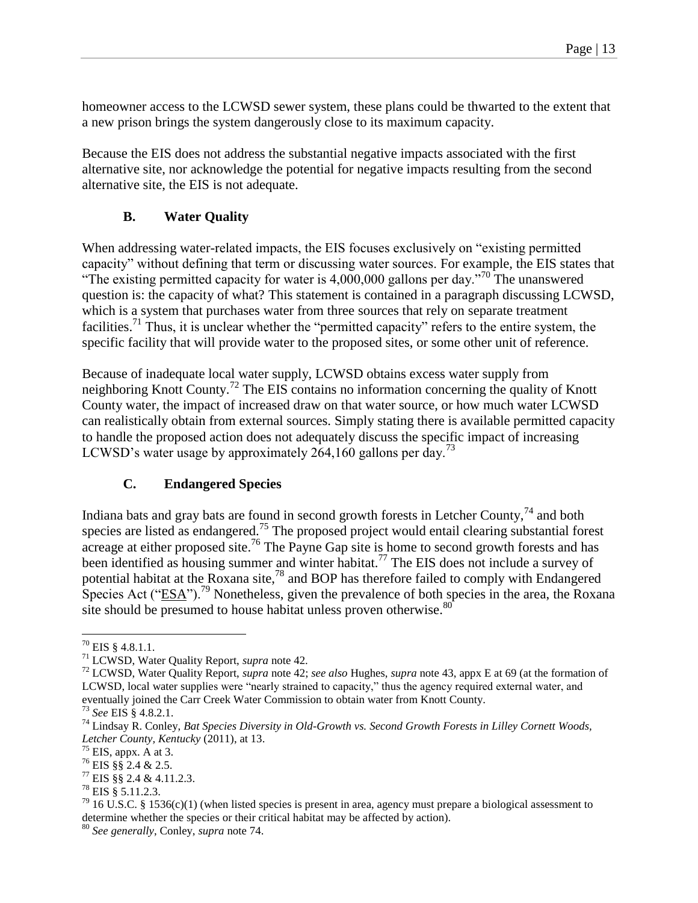homeowner access to the LCWSD sewer system, these plans could be thwarted to the extent that a new prison brings the system dangerously close to its maximum capacity.

Because the EIS does not address the substantial negative impacts associated with the first alternative site, nor acknowledge the potential for negative impacts resulting from the second alternative site, the EIS is not adequate.

# **B. Water Quality**

When addressing water-related impacts, the EIS focuses exclusively on "existing permitted capacity" without defining that term or discussing water sources. For example, the EIS states that "The existing permitted capacity for water is  $4,000,000$  gallons per day."<sup>70</sup> The unanswered question is: the capacity of what? This statement is contained in a paragraph discussing LCWSD, which is a system that purchases water from three sources that rely on separate treatment facilities.<sup>71</sup> Thus, it is unclear whether the "permitted capacity" refers to the entire system, the specific facility that will provide water to the proposed sites, or some other unit of reference.

Because of inadequate local water supply, LCWSD obtains excess water supply from neighboring Knott County.<sup>72</sup> The EIS contains no information concerning the quality of Knott County water, the impact of increased draw on that water source, or how much water LCWSD can realistically obtain from external sources. Simply stating there is available permitted capacity to handle the proposed action does not adequately discuss the specific impact of increasing LCWSD's water usage by approximately 264,160 gallons per day.<sup>73</sup>

# <span id="page-12-1"></span><span id="page-12-0"></span>**C. Endangered Species**

Indiana bats and gray bats are found in second growth forests in Letcher County,  $74$  and both species are listed as endangered.<sup>75</sup> The proposed project would entail clearing substantial forest acreage at either proposed site.<sup>76</sup> The Payne Gap site is home to second growth forests and has been identified as housing summer and winter habitat.<sup>77</sup> The EIS does not include a survey of potential habitat at the Roxana site,<sup>78</sup> and BOP has therefore failed to comply with Endangered Species Act ("ESA").<sup>79</sup> Nonetheless, given the prevalence of both species in the area, the Roxana site should be presumed to house habitat unless proven otherwise.<sup>80</sup>

 $\overline{a}$  $^{70}$  EIS § 4.8.1.1.

<sup>71</sup> LCWSD, Water Quality Report, *supra* not[e 42.](#page-8-0)

<sup>72</sup> LCWSD, Water Quality Report, *supra* not[e 42;](#page-8-0) *see also* Hughes, *supra* note [43,](#page-8-1) appx E at 69 (at the formation of LCWSD, local water supplies were "nearly strained to capacity," thus the agency required external water, and eventually joined the Carr Creek Water Commission to obtain water from Knott County.

<sup>73</sup> *See* EIS § 4.8.2.1.

<sup>74</sup> Lindsay R. Conley, *Bat Species Diversity in Old-Growth vs. Second Growth Forests in Lilley Cornett Woods, Letcher County, Kentucky* (2011), at 13.

 $75$  EIS, appx. A at 3.

<sup>76</sup> EIS §§ 2.4 & 2.5.

 $77$  EIS §§ 2.4 & 4.11.2.3.

<sup>78</sup> EIS § 5.11.2.3.

 $^{79}$  16 U.S.C. § 1536(c)(1) (when listed species is present in area, agency must prepare a biological assessment to determine whether the species or their critical habitat may be affected by action).

<sup>80</sup> *See generally*, Conley, *supra* note [74.](#page-12-1)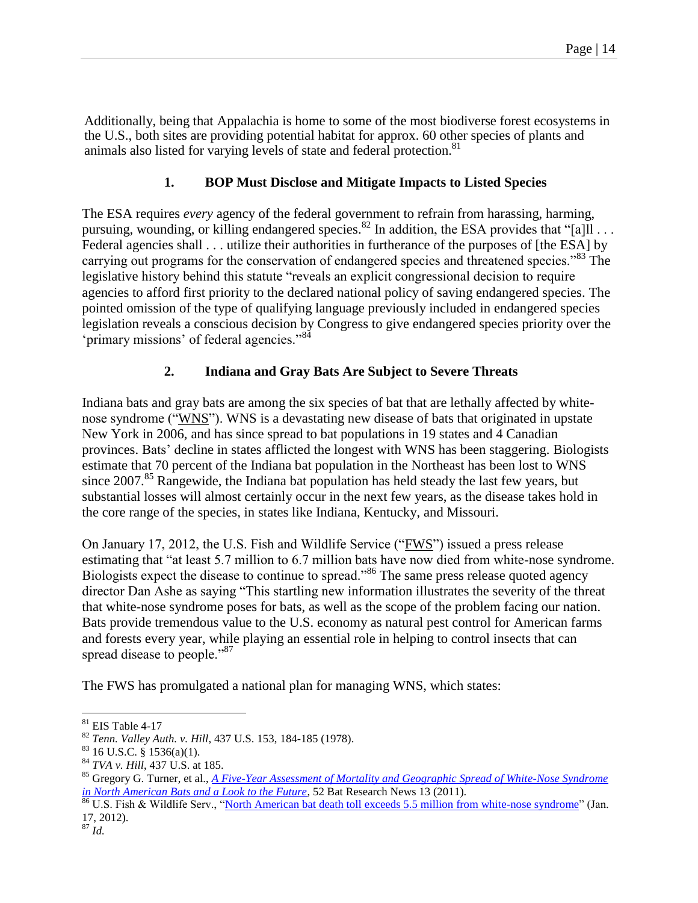Additionally, being that Appalachia is home to some of the most biodiverse forest ecosystems in the U.S., both sites are providing potential habitat for approx. 60 other species of plants and animals also listed for varying levels of state and federal protection.<sup>81</sup>

## **1. BOP Must Disclose and Mitigate Impacts to Listed Species**

The ESA requires *every* agency of the federal government to refrain from harassing, harming, pursuing, wounding, or killing endangered species.<sup>82</sup> In addition, the ESA provides that "[a]ll . . . Federal agencies shall . . . utilize their authorities in furtherance of the purposes of [the ESA] by carrying out programs for the conservation of endangered species and threatened species."<sup>83</sup> The legislative history behind this statute "reveals an explicit congressional decision to require agencies to afford first priority to the declared national policy of saving endangered species. The pointed omission of the type of qualifying language previously included in endangered species legislation reveals a conscious decision by Congress to give endangered species priority over the 'primary missions' of federal agencies."<sup>84</sup>

## **2. Indiana and Gray Bats Are Subject to Severe Threats**

Indiana bats and gray bats are among the six species of bat that are lethally affected by whitenose syndrome ("WNS"). WNS is a devastating new disease of bats that originated in upstate New York in 2006, and has since spread to bat populations in 19 states and 4 Canadian provinces. Bats' decline in states afflicted the longest with WNS has been staggering. Biologists estimate that 70 percent of the Indiana bat population in the Northeast has been lost to WNS since  $2007$ .<sup>85</sup> Rangewide, the Indiana bat population has held steady the last few years, but substantial losses will almost certainly occur in the next few years, as the disease takes hold in the core range of the species, in states like Indiana, Kentucky, and Missouri.

On January 17, 2012, the U.S. Fish and Wildlife Service ("FWS") issued a press release estimating that "at least 5.7 million to 6.7 million bats have now died from white-nose syndrome. Biologists expect the disease to continue to spread."<sup>86</sup> The same press release quoted agency director Dan Ashe as saying "This startling new information illustrates the severity of the threat that white-nose syndrome poses for bats, as well as the scope of the problem facing our nation. Bats provide tremendous value to the U.S. economy as natural pest control for American farms and forests every year, while playing an essential role in helping to control insects that can spread disease to people."<sup>87</sup>

The FWS has promulgated a national plan for managing WNS, which states:

 $\overline{a}$  $81$  EIS Table 4-17

<sup>82</sup> *Tenn. Valley Auth. v. Hill*, 437 U.S. 153, 184-185 (1978).

 $83$  16 U.S.C.  $\frac{8}{3}$  1536(a)(1).

<sup>84</sup> *TVA v. Hill*, 437 U.S. at 185.

<sup>85</sup> Gregory G. Turner, et al., *[A Five-Year Assessment of Mortality and Geographic Spread of White-Nose Syndrome](http://www.facstaff.bucknell.edu/dreeder/turnerreedercoleman-brn-wns.pdf)  [in North American Bats and a Look to the Future](http://www.facstaff.bucknell.edu/dreeder/turnerreedercoleman-brn-wns.pdf)*, 52 Bat Research News 13 (2011).

<sup>&</sup>lt;sup>86</sup> U.S. Fish & Wildlife Serv., "North American bat [death toll exceeds 5.5 million from white-nose syndrome"](https://www.whitenosesyndrome.org/sites/default/files/files/wns_mortality_2012_nr_final_0.pdf) (Jan. 17, 2012).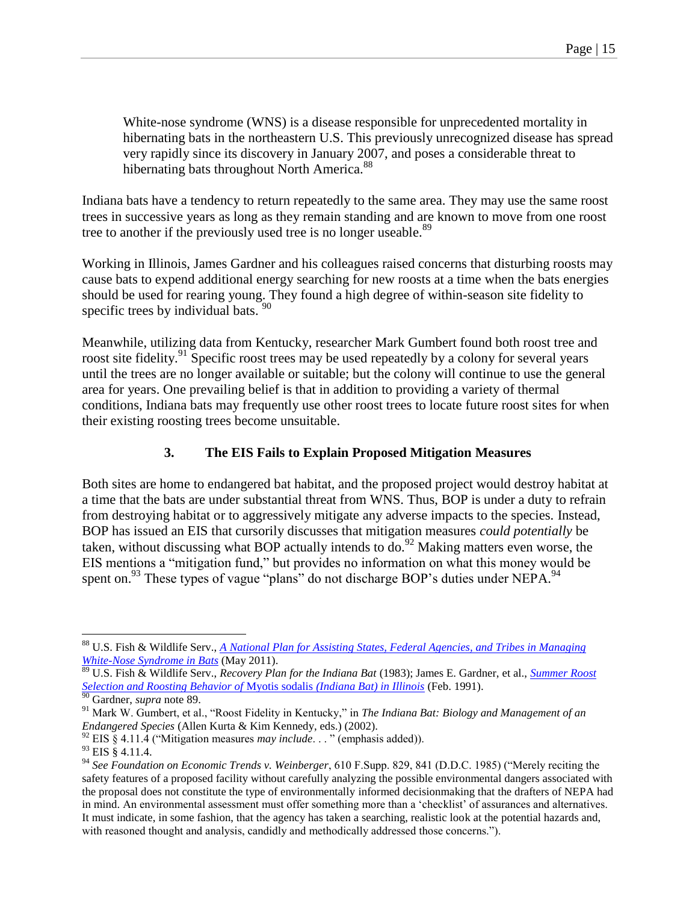<span id="page-14-0"></span>White-nose syndrome (WNS) is a disease responsible for unprecedented mortality in hibernating bats in the northeastern U.S. This previously unrecognized disease has spread very rapidly since its discovery in January 2007, and poses a considerable threat to hibernating bats throughout North America.<sup>88</sup>

Indiana bats have a tendency to return repeatedly to the same area. They may use the same roost trees in successive years as long as they remain standing and are known to move from one roost tree to another if the previously used tree is no longer useable.<sup>89</sup>

Working in Illinois, James Gardner and his colleagues raised concerns that disturbing roosts may cause bats to expend additional energy searching for new roosts at a time when the bats energies should be used for rearing young. They found a high degree of within-season site fidelity to specific trees by individual bats.  $90$ 

Meanwhile, utilizing data from Kentucky, researcher Mark Gumbert found both roost tree and roost site fidelity.<sup>91</sup> Specific roost trees may be used repeatedly by a colony for several years until the trees are no longer available or suitable; but the colony will continue to use the general area for years. One prevailing belief is that in addition to providing a variety of thermal conditions, Indiana bats may frequently use other roost trees to locate future roost sites for when their existing roosting trees become unsuitable.

## **3. The EIS Fails to Explain Proposed Mitigation Measures**

Both sites are home to endangered bat habitat, and the proposed project would destroy habitat at a time that the bats are under substantial threat from WNS. Thus, BOP is under a duty to refrain from destroying habitat or to aggressively mitigate any adverse impacts to the species. Instead, BOP has issued an EIS that cursorily discusses that mitigation measures *could potentially* be taken, without discussing what BOP actually intends to  $\overline{do}^{92}$  Making matters even worse, the EIS mentions a "mitigation fund," but provides no information on what this money would be spent on.<sup>93</sup> These types of vague "plans" do not discharge BOP's duties under NEPA.<sup>94</sup>

<sup>88</sup> U.S. Fish & Wildlife Serv., *[A National Plan for Assisting States, Federal Agencies, and Tribes in Managing](https://www.whitenosesyndrome.org/sites/default/files/white-nose_syndrome_national_plan_may_2011.pdf)  [White-Nose Syndrome in Bats](https://www.whitenosesyndrome.org/sites/default/files/white-nose_syndrome_national_plan_may_2011.pdf)* (May 2011).

<sup>89</sup> U.S. Fish & Wildlife Serv., *Recovery Plan for the Indiana Bat* (1983); James E. Gardner, et al., *[Summer Roost](https://www.ideals.illinois.edu/bitstream/handle/2142/10371/inhscbiv01991i00000_opt.pdf?sequence=2)  [Selection and Roosting Behavior of](https://www.ideals.illinois.edu/bitstream/handle/2142/10371/inhscbiv01991i00000_opt.pdf?sequence=2)* Myotis sodalis *(Indiana Bat) in Illinois* (Feb. 1991).

<sup>90</sup> Gardner, *supra* note [89.](#page-14-0)

<sup>91</sup> Mark W. Gumbert, et al., "Roost Fidelity in Kentucky," in *The Indiana Bat: Biology and Management of an Endangered Species* (Allen Kurta & Kim Kennedy, eds.) (2002).

 $^{92}$  EIS § 4.11.4 ("Mitigation measures *may include...*" (emphasis added)).

 $93$  EIS  $\check{8}$  4.11.4.

<sup>94</sup> *See Foundation on Economic Trends v. Weinberger*, 610 F.Supp. 829, 841 (D.D.C. 1985) ("Merely reciting the safety features of a proposed facility without carefully analyzing the possible environmental dangers associated with the proposal does not constitute the type of environmentally informed decisionmaking that the drafters of NEPA had in mind. An environmental assessment must offer something more than a 'checklist' of assurances and alternatives. It must indicate, in some fashion, that the agency has taken a searching, realistic look at the potential hazards and, with reasoned thought and analysis, candidly and methodically addressed those concerns.").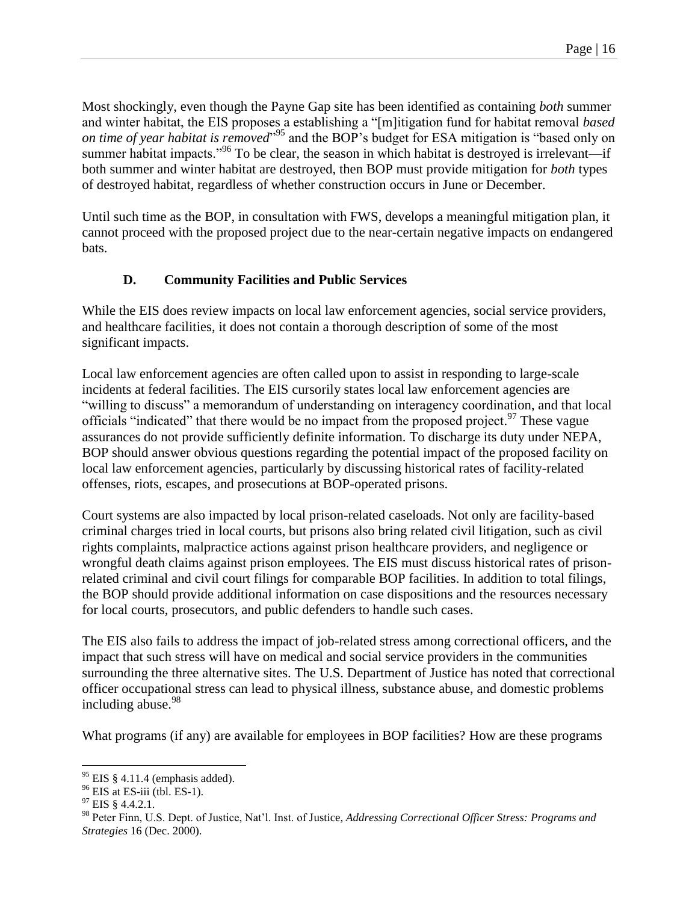Most shockingly, even though the Payne Gap site has been identified as containing *both* summer and winter habitat, the EIS proposes a establishing a "[m]itigation fund for habitat removal *based on time of year habitat is removed*" <sup>95</sup> and the BOP's budget for ESA mitigation is "based only on summer habitat impacts."<sup>96</sup> To be clear, the season in which habitat is destroyed is irrelevant—if both summer and winter habitat are destroyed, then BOP must provide mitigation for *both* types of destroyed habitat, regardless of whether construction occurs in June or December.

Until such time as the BOP, in consultation with FWS, develops a meaningful mitigation plan, it cannot proceed with the proposed project due to the near-certain negative impacts on endangered bats.

# **D. Community Facilities and Public Services**

While the EIS does review impacts on local law enforcement agencies, social service providers, and healthcare facilities, it does not contain a thorough description of some of the most significant impacts.

Local law enforcement agencies are often called upon to assist in responding to large-scale incidents at federal facilities. The EIS cursorily states local law enforcement agencies are "willing to discuss" a memorandum of understanding on interagency coordination, and that local officials "indicated" that there would be no impact from the proposed project.<sup>97</sup> These vague assurances do not provide sufficiently definite information. To discharge its duty under NEPA, BOP should answer obvious questions regarding the potential impact of the proposed facility on local law enforcement agencies, particularly by discussing historical rates of facility-related offenses, riots, escapes, and prosecutions at BOP-operated prisons.

Court systems are also impacted by local prison-related caseloads. Not only are facility-based criminal charges tried in local courts, but prisons also bring related civil litigation, such as civil rights complaints, malpractice actions against prison healthcare providers, and negligence or wrongful death claims against prison employees. The EIS must discuss historical rates of prisonrelated criminal and civil court filings for comparable BOP facilities. In addition to total filings, the BOP should provide additional information on case dispositions and the resources necessary for local courts, prosecutors, and public defenders to handle such cases.

The EIS also fails to address the impact of job-related stress among correctional officers, and the impact that such stress will have on medical and social service providers in the communities surrounding the three alternative sites. The U.S. Department of Justice has noted that correctional officer occupational stress can lead to physical illness, substance abuse, and domestic problems including abuse.<sup>98</sup>

What programs (if any) are available for employees in BOP facilities? How are these programs

 $95$  EIS § 4.11.4 (emphasis added).

 $96$  EIS at ES-iii (tbl. ES-1).

 $^{97}$  EIS § 4.4.2.1.

<sup>98</sup> Peter Finn, U.S. Dept. of Justice, Nat'l. Inst. of Justice, *Addressing Correctional Officer Stress: Programs and Strategies* 16 (Dec. 2000).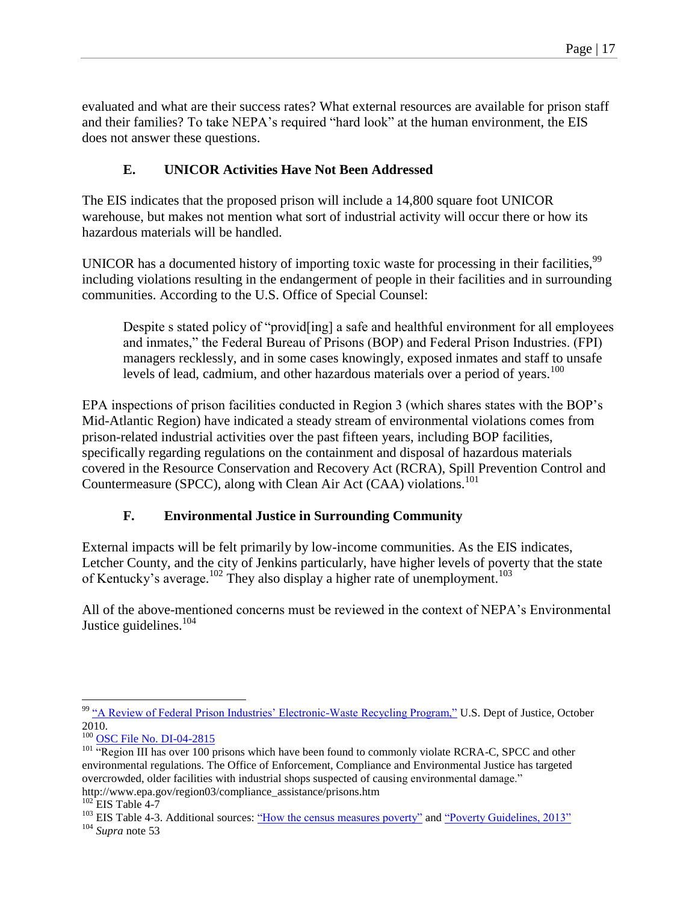evaluated and what are their success rates? What external resources are available for prison staff and their families? To take NEPA's required "hard look" at the human environment, the EIS does not answer these questions.

# **E. UNICOR Activities Have Not Been Addressed**

The EIS indicates that the proposed prison will include a 14,800 square foot UNICOR warehouse, but makes not mention what sort of industrial activity will occur there or how its hazardous materials will be handled.

UNICOR has a documented history of importing toxic waste for processing in their facilities,<sup>99</sup> including violations resulting in the endangerment of people in their facilities and in surrounding communities. According to the U.S. Office of Special Counsel:

Despite s stated policy of "provid[ing] a safe and healthful environment for all employees and inmates," the Federal Bureau of Prisons (BOP) and Federal Prison Industries. (FPI) managers recklessly, and in some cases knowingly, exposed inmates and staff to unsafe levels of lead, cadmium, and other hazardous materials over a period of years.<sup>100</sup>

EPA inspections of prison facilities conducted in Region 3 (which shares states with the BOP's Mid-Atlantic Region) have indicated a steady stream of environmental violations comes from prison-related industrial activities over the past fifteen years, including BOP facilities, specifically regarding regulations on the containment and disposal of hazardous materials covered in the Resource Conservation and Recovery Act (RCRA), Spill Prevention Control and Countermeasure (SPCC), along with Clean Air Act (CAA) violations.<sup>101</sup>

# **F. Environmental Justice in Surrounding Community**

External impacts will be felt primarily by low-income communities. As the EIS indicates, Letcher County, and the city of Jenkins particularly, have higher levels of poverty that the state of Kentucky's average.<sup>102</sup> They also display a higher rate of unemployment.<sup>103</sup>

All of the above-mentioned concerns must be reviewed in the context of NEPA's Environmental Justice guidelines.<sup>104</sup>

 $\overline{a}$ <sup>99</sup> ["A Review of Federal Prison Industries' Electronic-Waste Recycling Program,"](https://www.prisonlegalnews.org/news/publications/doj-review-of-federal-prison-industries-electronic-waste-recycling-program-oct-2010/) U.S. Dept of Justice, October 2010.

<sup>&</sup>lt;sup>100</sup> [OSC File No. DI-04-2815](https://www.prisonlegalnews.org/media/publications/us_osc_letter_to_president_bush_re_unicor_recycling_program_problems_2006.pdf)

<sup>&</sup>lt;sup>101</sup> "Region III has over 100 prisons which have been found to commonly violate RCRA-C, SPCC and other environmental regulations. The Office of Enforcement, Compliance and Environmental Justice has targeted overcrowded, older facilities with industrial shops suspected of causing environmental damage."

http://www.epa.gov/region03/compliance\_assistance/prisons.htm

 $102$  EIS Table 4-7

<sup>&</sup>lt;sup>103</sup> EIS Table 4-3. Additional sources: <u>"How the census measures poverty"</u> and <u>"Poverty Guidelines, 2013"</u>

<sup>104</sup> *Supra* note 53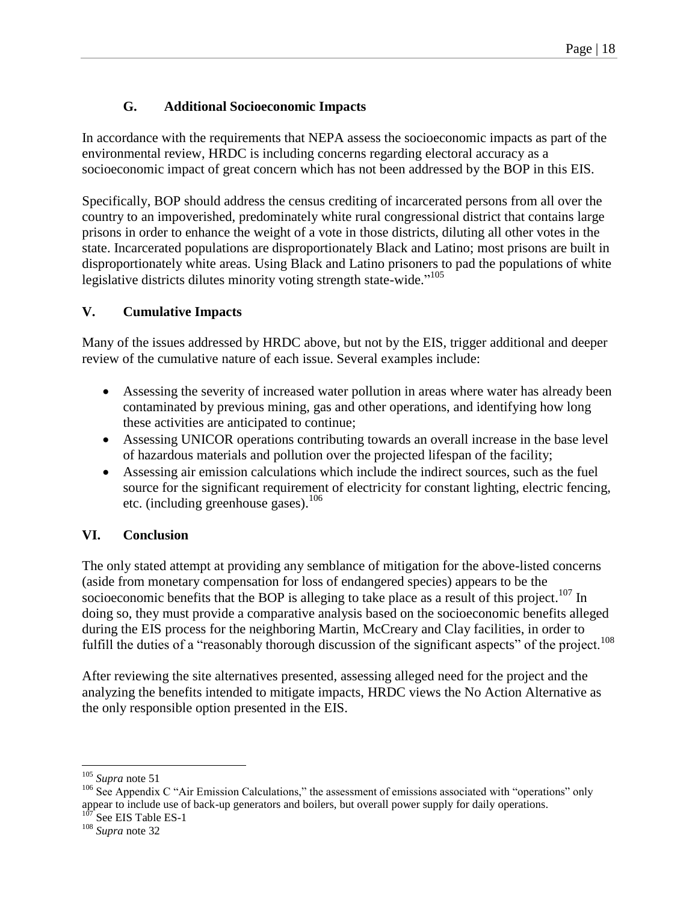# **G. Additional Socioeconomic Impacts**

In accordance with the requirements that NEPA assess the socioeconomic impacts as part of the environmental review, HRDC is including concerns regarding electoral accuracy as a socioeconomic impact of great concern which has not been addressed by the BOP in this EIS.

Specifically, BOP should address the census crediting of incarcerated persons from all over the country to an impoverished, predominately white rural congressional district that contains large prisons in order to enhance the weight of a vote in those districts, diluting all other votes in the state. Incarcerated populations are disproportionately Black and Latino; most prisons are built in disproportionately white areas. Using Black and Latino prisoners to pad the populations of white legislative districts dilutes minority voting strength state-wide."<sup>105</sup>

# **V. Cumulative Impacts**

Many of the issues addressed by HRDC above, but not by the EIS, trigger additional and deeper review of the cumulative nature of each issue. Several examples include:

- Assessing the severity of increased water pollution in areas where water has already been contaminated by previous mining, gas and other operations, and identifying how long these activities are anticipated to continue;
- Assessing UNICOR operations contributing towards an overall increase in the base level of hazardous materials and pollution over the projected lifespan of the facility;
- Assessing air emission calculations which include the indirect sources, such as the fuel source for the significant requirement of electricity for constant lighting, electric fencing, etc. (including greenhouse gases). 106

# **VI. Conclusion**

The only stated attempt at providing any semblance of mitigation for the above-listed concerns (aside from monetary compensation for loss of endangered species) appears to be the socioeconomic benefits that the BOP is alleging to take place as a result of this project.<sup>107</sup> In doing so, they must provide a comparative analysis based on the socioeconomic benefits alleged during the EIS process for the neighboring Martin, McCreary and Clay facilities, in order to fulfill the duties of a "reasonably thorough discussion of the significant aspects" of the project.<sup>108</sup>

After reviewing the site alternatives presented, assessing alleged need for the project and the analyzing the benefits intended to mitigate impacts, HRDC views the No Action Alternative as the only responsible option presented in the EIS.

<sup>105</sup> *Supra* note 51

<sup>&</sup>lt;sup>106</sup> See Appendix C "Air Emission Calculations," the assessment of emissions associated with "operations" only appear to include use of back-up generators and boilers, but overall power supply for daily operations.

 $107$  See EIS Table ES-1

<sup>108</sup> *Supra* note 32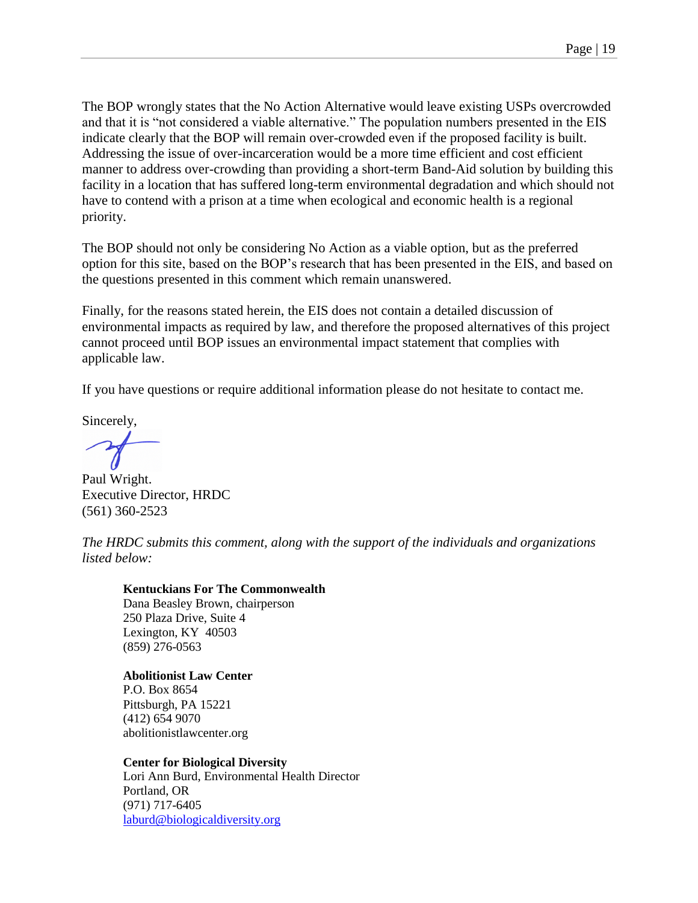The BOP wrongly states that the No Action Alternative would leave existing USPs overcrowded and that it is "not considered a viable alternative." The population numbers presented in the EIS indicate clearly that the BOP will remain over-crowded even if the proposed facility is built. Addressing the issue of over-incarceration would be a more time efficient and cost efficient manner to address over-crowding than providing a short-term Band-Aid solution by building this facility in a location that has suffered long-term environmental degradation and which should not have to contend with a prison at a time when ecological and economic health is a regional priority.

The BOP should not only be considering No Action as a viable option, but as the preferred option for this site, based on the BOP's research that has been presented in the EIS, and based on the questions presented in this comment which remain unanswered.

Finally, for the reasons stated herein, the EIS does not contain a detailed discussion of environmental impacts as required by law, and therefore the proposed alternatives of this project cannot proceed until BOP issues an environmental impact statement that complies with applicable law.

If you have questions or require additional information please do not hesitate to contact me.

Sincerely,

Paul Wright. Executive Director, HRDC (561) 360-2523

*The HRDC submits this comment, along with the support of the individuals and organizations listed below:*

#### **Kentuckians For The Commonwealth**

Dana Beasley Brown, chairperson 250 Plaza Drive, Suite 4 Lexington, KY 40503 (859) 276-0563

**Abolitionist Law Center** P.O. Box 8654 Pittsburgh, PA 15221 (412) 654 9070 abolitionistlawcenter.org

#### **Center for Biological Diversity**

Lori Ann Burd, Environmental Health Director Portland, OR (971) 717-6405 [laburd@biologicaldiversity.org](mailto:laburd@biologicaldiversity.org)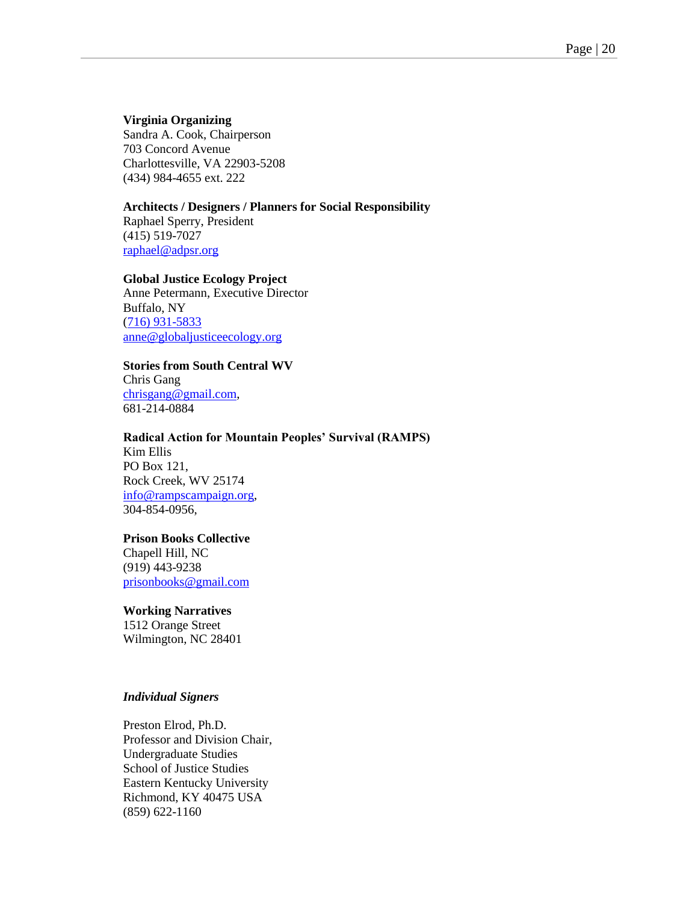#### **Virginia Organizing**

Sandra A. Cook, Chairperson 703 Concord Avenue Charlottesville, VA 22903-5208 (434) 984-4655 ext. 222

#### **Architects / Designers / Planners for Social Responsibility**

Raphael Sperry, President (415) 519-7027 [raphael@adpsr.org](mailto:raphael@adpsr.org)

#### **Global Justice Ecology Project**

Anne Petermann, Executive Director Buffalo, NY [\(716\) 931-5833](tel:%2B1.716.931.5833) [anne@globaljusticeecology.org](mailto:anne@globaljusticeecology.org)

#### **Stories from South Central WV**

Chris Gang [chrisgang@gmail.com,](mailto:chrisgang@gmail.com) 681-214-0884

#### **Radical Action for Mountain Peoples' Survival (RAMPS)**

Kim Ellis PO Box 121, Rock Creek, WV 25174 [info@rampscampaign.org,](mailto:info@rampscampaign.org) 304-854-0956,

#### **Prison Books Collective**

Chapell Hill, NC (919) 443-9238 [prisonbooks@gmail.com](mailto:prisonbooks@gmail.com)

#### **Working Narratives**

1512 Orange Street Wilmington, NC 28401

#### *Individual Signers*

Preston Elrod, Ph.D. Professor and Division Chair, Undergraduate Studies School of Justice Studies Eastern Kentucky University Richmond, KY 40475 USA (859) 622-1160